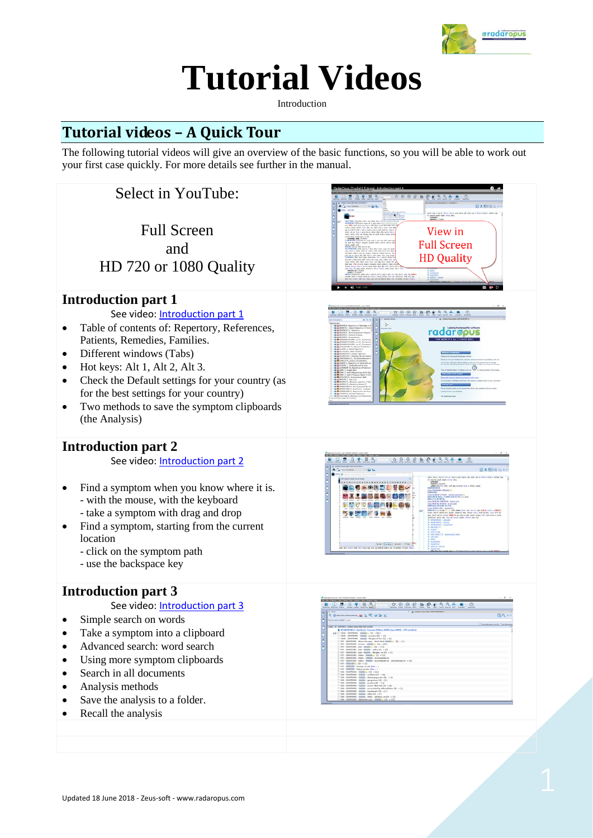

# **Tutorial Videos**

Introduction

# **Tutorial videos – A Quick Tour**

The following tutorial videos will give an overview of the basic functions, so you will be able to work out your first case quickly. For more details see further in the manual.

## Select in YouTube:

Full Screen and HD 720 or 1080 Quality

#### **Introduction part 1**

See video[: Introduction part 1](https://youtu.be/4yxRtOFVxGY)

- Table of contents of: Repertory, References, Patients, Remedies, Families.
- Different windows (Tabs)
- Hot keys: Alt 1, Alt 2, Alt 3.
- Check the Default settings for your country (as for the best settings for your country)
- Two methods to save the symptom clipboards (the Analysis)

#### **Introduction part 2**

See video[: Introduction part 2](https://youtu.be/RnJRjD_Ek2k)

- Find a symptom when you know where it is. - with the mouse, with the keyboard - take a symptom with drag and drop
- Find a symptom, starting from the current
- location
	- click on the symptom path
	- use the backspace key

#### **Introduction part 3**

See video[: Introduction part 3](https://youtu.be/CZgCTK2voE8)

- Simple search on words
- Take a symptom into a clipboard
- Advanced search: word search
- Using more symptom clipboards
- Search in all documents
- Analysis methods
- Save the analysis to a folder.
- Recall the analysis







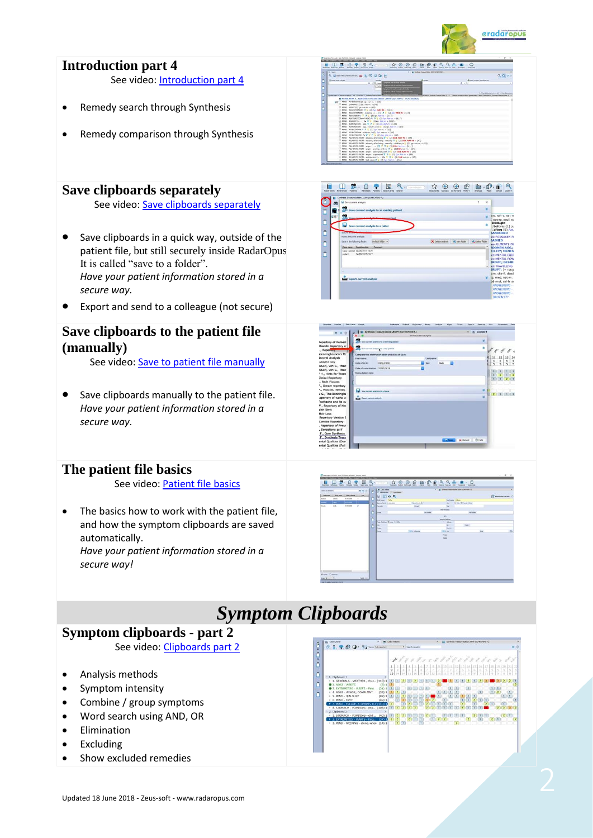

### **Introduction part 4**

See video[: Introduction part 4](https://www.youtube.com/watch?v=-wK-PG3SUmg)

- Remedy search through Synthesis
- Remedy comparison through Synthesis

#### **Save clipboards separately**

See video: [Save clipboards separately](https://youtu.be/bmjGNfn4LDo)

- Save clipboards in a quick way, outside of the patient file, but still securely inside RadarOpus. It is called "save to a folder". *Have your patient information stored in a secure way.*
- Export and send to a colleague (not secure)

#### **Save clipboards to the patient file (manually)**

See video[: Save to patient file manually](https://youtu.be/AJrBF_i6OLM)

Save clipboards manually to the patient file. *Have your patient information stored in a secure way.*

#### **The patient file basics**

See video[: Patient file basics](https://youtu.be/Fl-bJWu2GT8)

The basics how to work with the patient file, and how the symptom clipboards are saved automatically. *Have your patient information stored in a secure way!*









# *Symptom Clipboards*

#### **Symptom clipboards - part 2**

See video: [Clipboards part 2](https://youtu.be/ea5F8q7Y-Ns)

- Analysis methods
- Symptom intensity
- Combine / group symptoms
- Word search using AND, OR
- Elimination
- Excluding
- Show excluded remedies